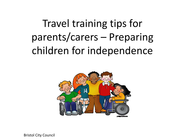# Travel training tips for parents/carers – Preparing children for independence

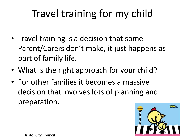# Travel training for my child

- Travel training is a decision that some Parent/Carers don't make, it just happens as part of family life.
- What is the right approach for your child?
- For other families it becomes a massive decision that involves lots of planning and preparation.

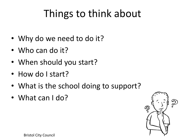# Things to think about

- Why do we need to do it?
- Who can do it?
- When should you start?
- How do I start?
- What is the school doing to support?
- What can I do?

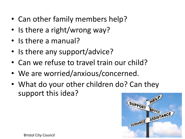- Can other family members help?
- Is there a right/wrong way?
- Is there a manual?
- Is there any support/advice?
- Can we refuse to travel train our child?
- We are worried/anxious/concerned.
- What do your other children do? Can they support this idea?

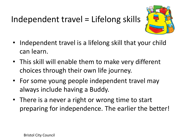### Independent travel = Lifelong skills



- Independent travel is a lifelong skill that your child can learn.
- This skill will enable them to make very different choices through their own life journey.
- For some young people independent travel may always include having a Buddy.
- There is a never a right or wrong time to start preparing for independence. The earlier the better!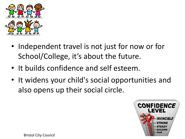

- Independent travel is not just for now or for School/College, it's about the future.
- It builds confidence and self esteem.
- It widens your child's social opportunities and also opens up their social circle.

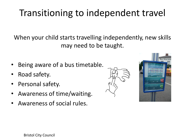### Transitioning to independent travel

When your child starts travelling independently, new skills may need to be taught.

- Being aware of a bus timetable.
- Road safety.
- Personal safety.
- Awareness of time/waiting.
- Awareness of social rules.



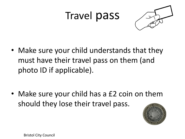### Travel pass



• Make sure your child understands that they must have their travel pass on them (and photo ID if applicable).

• Make sure your child has a £2 coin on them should they lose their travel pass.

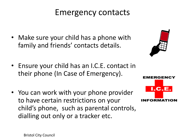#### Emergency contacts

- Make sure your child has a phone with family and friends' contacts details.
- Ensure your child has an I.C.E. contact in their phone (In Case of Emergency).
- You can work with your phone provider to have certain restrictions on your child's phone, such as parental controls, dialling out only or a tracker etc.



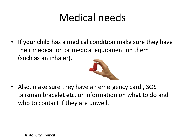## Medical needs

• If your child has a medical condition make sure they have their medication or medical equipment on them (such as an inhaler).



Also, make sure they have an emergency card, SOS talisman bracelet etc. or information on what to do and who to contact if they are unwell.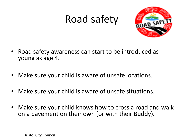### Road safety



- Road safety awareness can start to be introduced as young as age 4.
- Make sure your child is aware of unsafe locations.
- Make sure your child is aware of unsafe situations.
- Make sure your child knows how to cross a road and walk on a pavement on their own (or with their Buddy).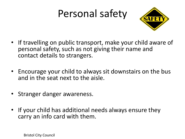# Personal safety



- If travelling on public transport, make your child aware of personal safety, such as not giving their name and contact details to strangers.
- Encourage your child to always sit downstairs on the bus and in the seat next to the aisle.
- Stranger danger awareness.
- If your child has additional needs always ensure they carry an info card with them.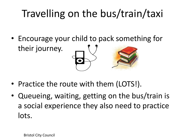# Travelling on the bus/train/taxi

• Encourage your child to pack something for their journey.

- Practice the route with them (LOTS!).
- Queueing, waiting, getting on the bus/train is a social experience they also need to practice lots.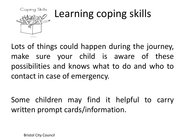

# Learning coping skills

Lots of things could happen during the journey, make sure your child is aware of these possibilities and knows what to do and who to contact in case of emergency.

Some children may find it helpful to carry written prompt cards/information.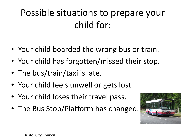### Possible situations to prepare your child for:

- Your child boarded the wrong bus or train.
- Your child has forgotten/missed their stop.
- The bus/train/taxi is late.
- Your child feels unwell or gets lost.
- Your child loses their travel pass.
- The Bus Stop/Platform has changed.

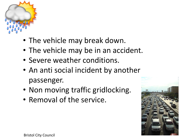

- The vehicle may break down.
- The vehicle may be in an accident.
- Severe weather conditions.
- An anti social incident by another passenger.
- Non moving traffic gridlocking.
- Removal of the service.

![](_page_15_Picture_7.jpeg)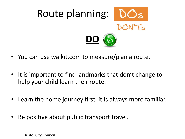![](_page_16_Picture_0.jpeg)

- You can use walkit.com to measure/plan a route.
- It is important to find landmarks that don't change to help your child learn their route.
- Learn the home journey first, it is always more familiar.
- Be positive about public transport travel.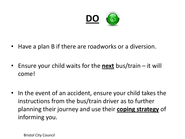![](_page_17_Picture_0.jpeg)

- Have a plan B if there are roadworks or a diversion.
- Ensure your child waits for the **next** bus/train it will come!
- In the event of an accident, ensure your child takes the instructions from the bus/train driver as to further planning their journey and use their **coping strategy** of informing you.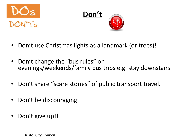![](_page_18_Picture_0.jpeg)

![](_page_18_Picture_1.jpeg)

- Don't use Christmas lights as a landmark (or trees)!
- Don't change the "bus rules" on evenings/weekends/family bus trips e.g. stay downstairs.
- Don't share "scare stories" of public transport travel.
- Don't be discouraging.
- Don't give up!!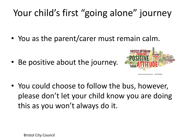### Your child's first "going alone" journey

• You as the parent/carer must remain calm.

• Be positive about the journey.

![](_page_19_Picture_3.jpeg)

- www.shutterstock.com · 101781295
- You could choose to follow the bus, however, please don't let your child know you are doing this as you won't always do it.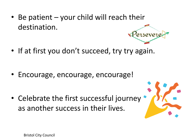- Be patient your child will reach their destination. ersever
- If at first you don't succeed, try try again.

• Encourage, encourage, encourage!

• Celebrate the first successful journey as another success in their lives.

![](_page_20_Picture_4.jpeg)